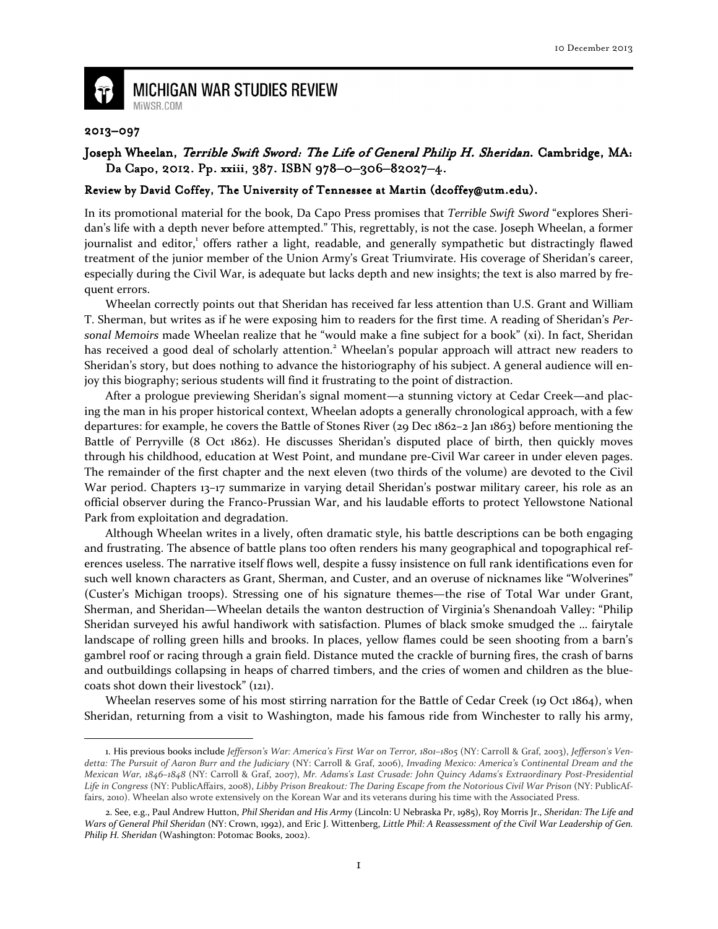

**MICHIGAN WAR STUDIES REVIEW** MiWSR.COM

## 2013–097

 $\overline{\phantom{0}}$ 

## Joseph Wheelan, Terrible Swift Sword: The Life of General Philip H. Sheridan. Cambridge, MA: Da Capo, 2012. Pp. xxiii, 387. ISBN 978-0-306-82027-4.

## Review by David Coffey, The University of Tennessee at Martin (dcoffey@utm.edu).

In its promotional material for the book, Da Capo Press promises that Terrible Swift Sword "explores Sheridan's life with a depth never before attempted." This, regrettably, is not the case. Joseph Wheelan, a former journalist and editor,<sup>1</sup> offers rather a light, readable, and generally sympathetic but distractingly flawed treatment of the junior member of the Union Army's Great Triumvirate. His coverage of Sheridan's career, especially during the Civil War, is adequate but lacks depth and new insights; the text is also marred by frequent errors.

Wheelan correctly points out that Sheridan has received far less attention than U.S. Grant and William T. Sherman, but writes as if he were exposing him to readers for the first time. A reading of Sheridan's Personal Memoirs made Wheelan realize that he "would make a fine subject for a book" (xi). In fact, Sheridan has received a good deal of scholarly attention.<sup>2</sup> Wheelan's popular approach will attract new readers to Sheridan's story, but does nothing to advance the historiography of his subject. A general audience will enjoy this biography; serious students will find it frustrating to the point of distraction.

 After a prologue previewing Sheridan's signal moment—a stunning victory at Cedar Creek—and placing the man in his proper historical context, Wheelan adopts a generally chronological approach, with a few departures: for example, he covers the Battle of Stones River (29 Dec 1862–2 Jan 1863) before mentioning the Battle of Perryville (8 Oct 1862). He discusses Sheridan's disputed place of birth, then quickly moves through his childhood, education at West Point, and mundane pre-Civil War career in under eleven pages. The remainder of the first chapter and the next eleven (two thirds of the volume) are devoted to the Civil War period. Chapters 13-17 summarize in varying detail Sheridan's postwar military career, his role as an official observer during the Franco-Prussian War, and his laudable efforts to protect Yellowstone National Park from exploitation and degradation.

 Although Wheelan writes in a lively, often dramatic style, his battle descriptions can be both engaging and frustrating. The absence of battle plans too often renders his many geographical and topographical references useless. The narrative itself flows well, despite a fussy insistence on full rank identifications even for such well known characters as Grant, Sherman, and Custer, and an overuse of nicknames like "Wolverines" (Custer's Michigan troops). Stressing one of his signature themes—the rise of Total War under Grant, Sherman, and Sheridan—Wheelan details the wanton destruction of Virginia's Shenandoah Valley: "Philip Sheridan surveyed his awful handiwork with satisfaction. Plumes of black smoke smudged the … fairytale landscape of rolling green hills and brooks. In places, yellow flames could be seen shooting from a barn's gambrel roof or racing through a grain field. Distance muted the crackle of burning fires, the crash of barns and outbuildings collapsing in heaps of charred timbers, and the cries of women and children as the bluecoats shot down their livestock" (121).

Wheelan reserves some of his most stirring narration for the Battle of Cedar Creek (19 Oct 1864), when Sheridan, returning from a visit to Washington, made his famous ride from Winchester to rally his army,

<sup>1.</sup> His previous books include Jefferson's War: America's First War on Terror, 1801–1805 (NY: Carroll & Graf, 2003), Jefferson's Vendetta: The Pursuit of Aaron Burr and the Judiciary (NY: Carroll & Graf, 2006), Invading Mexico: America's Continental Dream and the Mexican War, 1846–1848 (NY: Carroll & Graf, 2007), Mr. Adams's Last Crusade: John Quincy Adams's Extraordinary Post-Presidential Life in Congress (NY: PublicAffairs, 2008), Libby Prison Breakout: The Daring Escape from the Notorious Civil War Prison (NY: PublicAffairs, 2010). Wheelan also wrote extensively on the Korean War and its veterans during his time with the Associated Press.

<sup>2.</sup> See, e.g., Paul Andrew Hutton, Phil Sheridan and His Army (Lincoln: U Nebraska Pr, 1985), Roy Morris Jr., Sheridan: The Life and Wars of General Phil Sheridan (NY: Crown, 1992), and Eric J. Wittenberg, Little Phil: A Reassessment of the Civil War Leadership of Gen. Philip H. Sheridan (Washington: Potomac Books, 2002).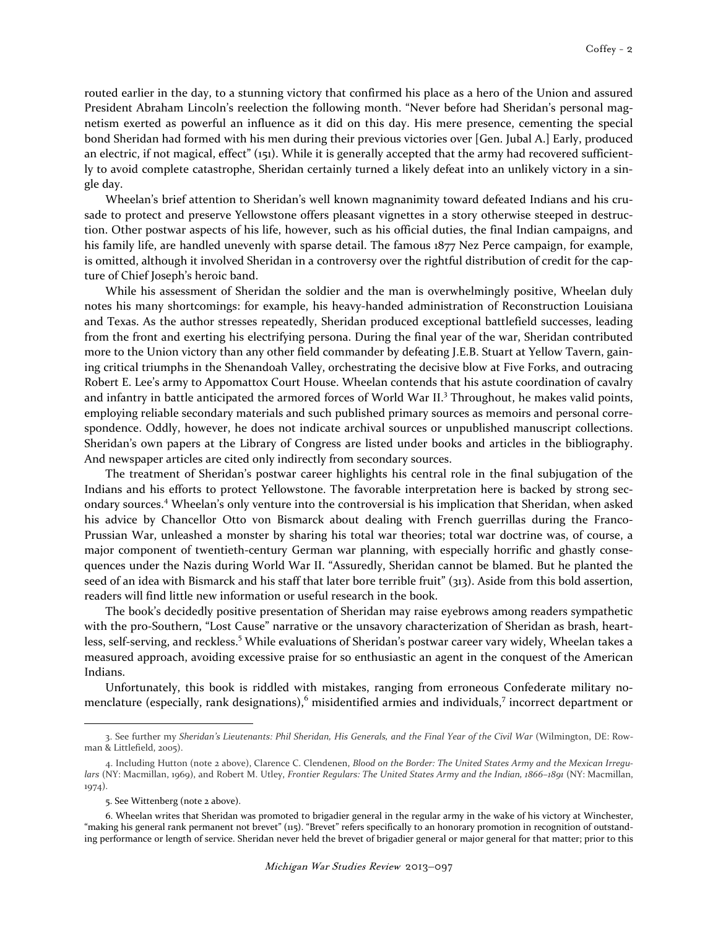routed earlier in the day, to a stunning victory that confirmed his place as a hero of the Union and assured President Abraham Lincoln's reelection the following month. "Never before had Sheridan's personal magnetism exerted as powerful an influence as it did on this day. His mere presence, cementing the special bond Sheridan had formed with his men during their previous victories over [Gen. Jubal A.] Early, produced an electric, if not magical, effect" (151). While it is generally accepted that the army had recovered sufficiently to avoid complete catastrophe, Sheridan certainly turned a likely defeat into an unlikely victory in a single day.

 Wheelan's brief attention to Sheridan's well known magnanimity toward defeated Indians and his crusade to protect and preserve Yellowstone offers pleasant vignettes in a story otherwise steeped in destruction. Other postwar aspects of his life, however, such as his official duties, the final Indian campaigns, and his family life, are handled unevenly with sparse detail. The famous 1877 Nez Perce campaign, for example, is omitted, although it involved Sheridan in a controversy over the rightful distribution of credit for the capture of Chief Joseph's heroic band.

 While his assessment of Sheridan the soldier and the man is overwhelmingly positive, Wheelan duly notes his many shortcomings: for example, his heavy-handed administration of Reconstruction Louisiana and Texas. As the author stresses repeatedly, Sheridan produced exceptional battlefield successes, leading from the front and exerting his electrifying persona. During the final year of the war, Sheridan contributed more to the Union victory than any other field commander by defeating J.E.B. Stuart at Yellow Tavern, gaining critical triumphs in the Shenandoah Valley, orchestrating the decisive blow at Five Forks, and outracing Robert E. Lee's army to Appomattox Court House. Wheelan contends that his astute coordination of cavalry and infantry in battle anticipated the armored forces of World War II.<sup>3</sup> Throughout, he makes valid points, employing reliable secondary materials and such published primary sources as memoirs and personal correspondence. Oddly, however, he does not indicate archival sources or unpublished manuscript collections. Sheridan's own papers at the Library of Congress are listed under books and articles in the bibliography. And newspaper articles are cited only indirectly from secondary sources.

 The treatment of Sheridan's postwar career highlights his central role in the final subjugation of the Indians and his efforts to protect Yellowstone. The favorable interpretation here is backed by strong secondary sources.<sup>4</sup> Wheelan's only venture into the controversial is his implication that Sheridan, when asked his advice by Chancellor Otto von Bismarck about dealing with French guerrillas during the Franco-Prussian War, unleashed a monster by sharing his total war theories; total war doctrine was, of course, a major component of twentieth-century German war planning, with especially horrific and ghastly consequences under the Nazis during World War II. "Assuredly, Sheridan cannot be blamed. But he planted the seed of an idea with Bismarck and his staff that later bore terrible fruit" (313). Aside from this bold assertion, readers will find little new information or useful research in the book.

 The book's decidedly positive presentation of Sheridan may raise eyebrows among readers sympathetic with the pro-Southern, "Lost Cause" narrative or the unsavory characterization of Sheridan as brash, heartless, self-serving, and reckless.<sup>5</sup> While evaluations of Sheridan's postwar career vary widely, Wheelan takes a measured approach, avoiding excessive praise for so enthusiastic an agent in the conquest of the American Indians.

 Unfortunately, this book is riddled with mistakes, ranging from erroneous Confederate military nomenclature (especially, rank designations),<sup>6</sup> misidentified armies and individuals,<sup>7</sup> incorrect department or

 $\overline{\phantom{0}}$ 

<sup>3.</sup> See further my Sheridan's Lieutenants: Phil Sheridan, His Generals, and the Final Year of the Civil War (Wilmington, DE: Rowman & Littlefield, 2005).

<sup>4.</sup> Including Hutton (note 2 above), Clarence C. Clendenen, Blood on the Border: The United States Army and the Mexican Irregulars (NY: Macmillan, 1969), and Robert M. Utley, Frontier Regulars: The United States Army and the Indian, 1866-1891 (NY: Macmillan, 1974).

<sup>5.</sup> See Wittenberg (note 2 above).

<sup>6.</sup> Wheelan writes that Sheridan was promoted to brigadier general in the regular army in the wake of his victory at Winchester, "making his general rank permanent not brevet" (115). "Brevet" refers specifically to an honorary promotion in recognition of outstanding performance or length of service. Sheridan never held the brevet of brigadier general or major general for that matter; prior to this